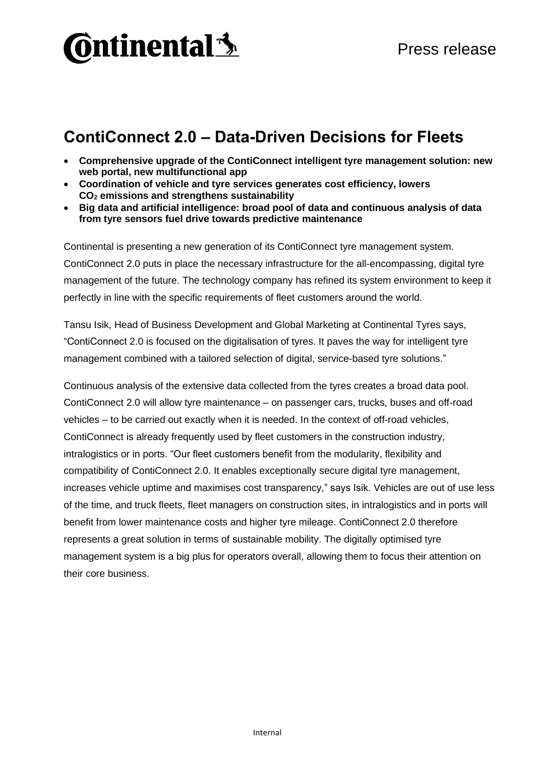## **Ontinental 3**

### **ContiConnect 2.0 – Data-Driven Decisions for Fleets**

- **Comprehensive upgrade of the ContiConnect intelligent tyre management solution: new web portal, new multifunctional app**
- **Coordination of vehicle and tyre services generates cost efficiency, lowers CO<sup>2</sup> emissions and strengthens sustainability**
- **Big data and artificial intelligence: broad pool of data and continuous analysis of data from tyre sensors fuel drive towards predictive maintenance**

Continental is presenting a new generation of its ContiConnect tyre management system. ContiConnect 2.0 puts in place the necessary infrastructure for the all-encompassing, digital tyre management of the future. The technology company has refined its system environment to keep it perfectly in line with the specific requirements of fleet customers around the world.

Tansu Isik, Head of Business Development and Global Marketing at Continental Tyres says, "ContiConnect 2.0 is focused on the digitalisation of tyres. It paves the way for intelligent tyre management combined with a tailored selection of digital, service-based tyre solutions."

Continuous analysis of the extensive data collected from the tyres creates a broad data pool. ContiConnect 2.0 will allow tyre maintenance – on passenger cars, trucks, buses and off-road vehicles – to be carried out exactly when it is needed. In the context of off-road vehicles, ContiConnect is already frequently used by fleet customers in the construction industry, intralogistics or in ports. "Our fleet customers benefit from the modularity, flexibility and compatibility of ContiConnect 2.0. It enables exceptionally secure digital tyre management, increases vehicle uptime and maximises cost transparency," says Isik. Vehicles are out of use less of the time, and truck fleets, fleet managers on construction sites, in intralogistics and in ports will benefit from lower maintenance costs and higher tyre mileage. ContiConnect 2.0 therefore represents a great solution in terms of sustainable mobility. The digitally optimised tyre management system is a big plus for operators overall, allowing them to focus their attention on their core business.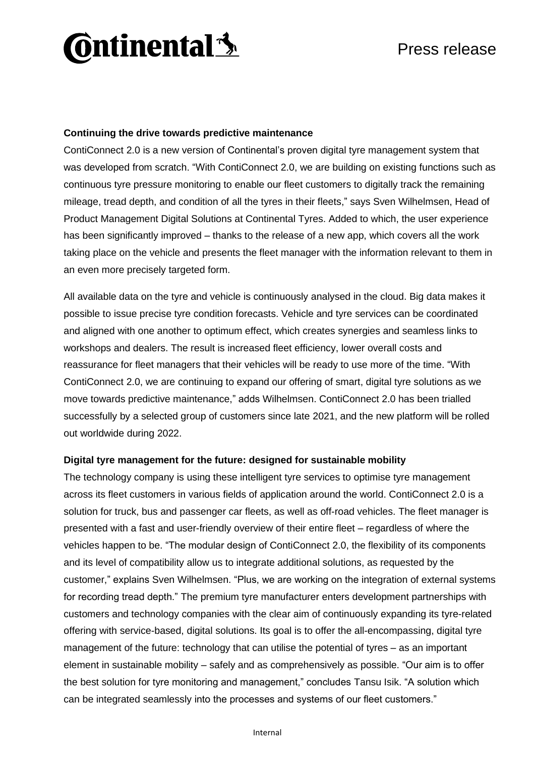# **Ontinental 3**

#### **Continuing the drive towards predictive maintenance**

ContiConnect 2.0 is a new version of Continental's proven digital tyre management system that was developed from scratch. "With ContiConnect 2.0, we are building on existing functions such as continuous tyre pressure monitoring to enable our fleet customers to digitally track the remaining mileage, tread depth, and condition of all the tyres in their fleets," says Sven Wilhelmsen, Head of Product Management Digital Solutions at Continental Tyres. Added to which, the user experience has been significantly improved – thanks to the release of a new app, which covers all the work taking place on the vehicle and presents the fleet manager with the information relevant to them in an even more precisely targeted form.

All available data on the tyre and vehicle is continuously analysed in the cloud. Big data makes it possible to issue precise tyre condition forecasts. Vehicle and tyre services can be coordinated and aligned with one another to optimum effect, which creates synergies and seamless links to workshops and dealers. The result is increased fleet efficiency, lower overall costs and reassurance for fleet managers that their vehicles will be ready to use more of the time. "With ContiConnect 2.0, we are continuing to expand our offering of smart, digital tyre solutions as we move towards predictive maintenance," adds Wilhelmsen. ContiConnect 2.0 has been trialled successfully by a selected group of customers since late 2021, and the new platform will be rolled out worldwide during 2022.

#### **Digital tyre management for the future: designed for sustainable mobility**

The technology company is using these intelligent tyre services to optimise tyre management across its fleet customers in various fields of application around the world. ContiConnect 2.0 is a solution for truck, bus and passenger car fleets, as well as off-road vehicles. The fleet manager is presented with a fast and user-friendly overview of their entire fleet – regardless of where the vehicles happen to be. "The modular design of ContiConnect 2.0, the flexibility of its components and its level of compatibility allow us to integrate additional solutions, as requested by the customer," explains Sven Wilhelmsen. "Plus, we are working on the integration of external systems for recording tread depth." The premium tyre manufacturer enters development partnerships with customers and technology companies with the clear aim of continuously expanding its tyre-related offering with service-based, digital solutions. Its goal is to offer the all-encompassing, digital tyre management of the future: technology that can utilise the potential of tyres – as an important element in sustainable mobility – safely and as comprehensively as possible. "Our aim is to offer the best solution for tyre monitoring and management," concludes Tansu Isik. "A solution which can be integrated seamlessly into the processes and systems of our fleet customers."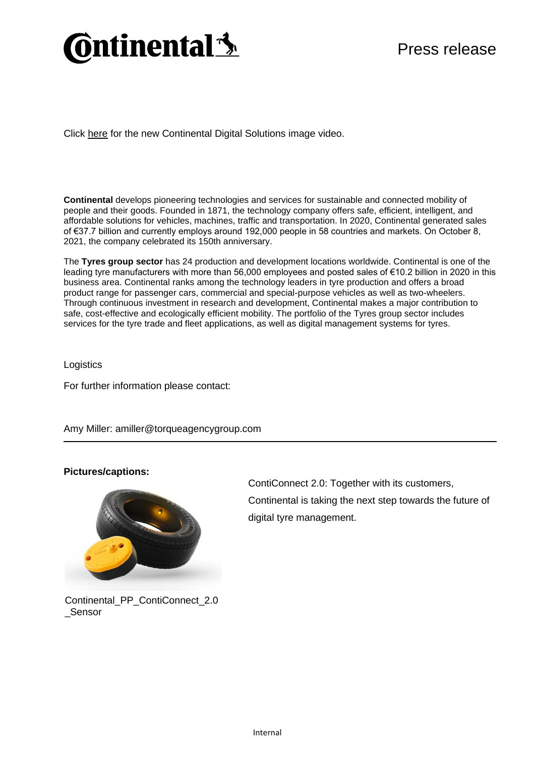### **Ontinental 3**

Click [here](https://youtu.be/KT4GZssl0g8) for the new Continental Digital Solutions image video.

**Continental** develops pioneering technologies and services for sustainable and connected mobility of people and their goods. Founded in 1871, the technology company offers safe, efficient, intelligent, and affordable solutions for vehicles, machines, traffic and transportation. In 2020, Continental generated sales of €37.7 billion and currently employs around 192,000 people in 58 countries and markets. On October 8, 2021, the company celebrated its 150th anniversary.

The **Tyres group sector** has 24 production and development locations worldwide. Continental is one of the leading tyre manufacturers with more than 56,000 employees and posted sales of €10.2 billion in 2020 in this business area. Continental ranks among the technology leaders in tyre production and offers a broad product range for passenger cars, commercial and special-purpose vehicles as well as two-wheelers. Through continuous investment in research and development, Continental makes a major contribution to safe, cost-effective and ecologically efficient mobility. The portfolio of the Tyres group sector includes services for the tyre trade and fleet applications, as well as digital management systems for tyres.

**Logistics** 

For further information please contact:

Amy Miller: amiller@torqueagencygroup.com

#### **Pictures/captions:**



ContiConnect 2.0: Together with its customers, Continental is taking the next step towards the future of digital tyre management.

Continental\_PP\_ContiConnect\_2.0 **Sensor**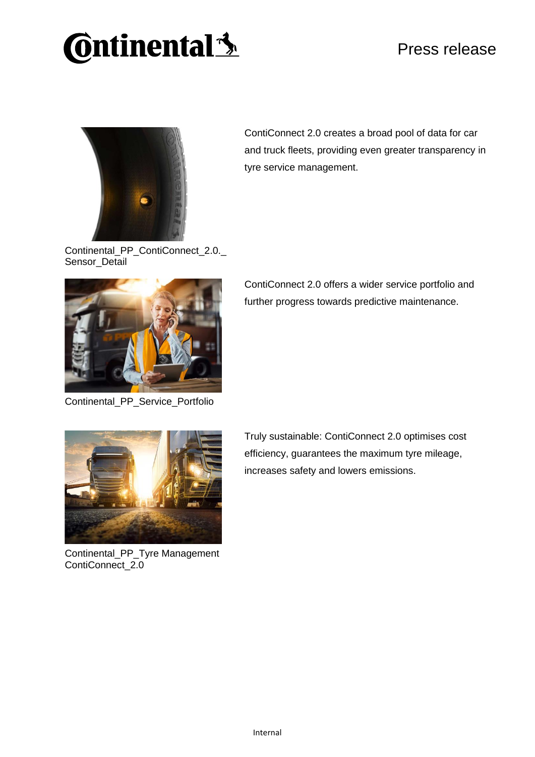# **Continental 3**

### Press release



ContiConnect 2.0 creates a broad pool of data for car and truck fleets, providing even greater transparency in tyre service management.

Continental\_PP\_ContiConnect\_2.0.\_ Sensor\_Detail



Continental\_PP\_Service\_Portfolio

ContiConnect 2.0 offers a wider service portfolio and further progress towards predictive maintenance.



Continental\_PP\_Tyre Management ContiConnect\_2.0

Truly sustainable: ContiConnect 2.0 optimises cost efficiency, guarantees the maximum tyre mileage, increases safety and lowers emissions.